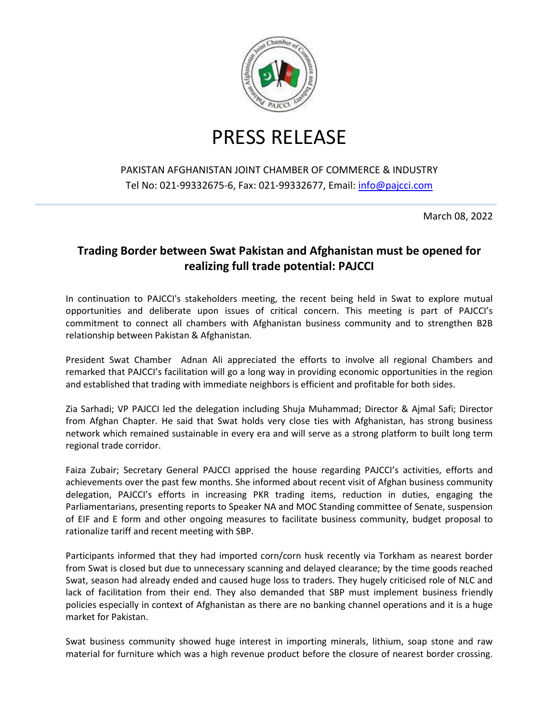

## PRESS RELEASE

## PAKISTAN AFGHANISTAN JOINT CHAMBER OF COMMERCE & INDUSTRY Tel No: 021-99332675-6, Fax: 021-99332677, Email: [info@pajcci.com](mailto:info@pajcci.com)

March 08, 2022

## **Trading Border between Swat Pakistan and Afghanistan must be opened for realizing full trade potential: PAJCCI**

In continuation to PAJCCI's stakeholders meeting, the recent being held in Swat to explore mutual opportunities and deliberate upon issues of critical concern. This meeting is part of PAJCCI's commitment to connect all chambers with Afghanistan business community and to strengthen B2B relationship between Pakistan & Afghanistan.

President Swat Chamber Adnan Ali appreciated the efforts to involve all regional Chambers and remarked that PAJCCI's facilitation will go a long way in providing economic opportunities in the region and established that trading with immediate neighbors is efficient and profitable for both sides.

Zia Sarhadi; VP PAJCCI led the delegation including Shuja Muhammad; Director & Ajmal Safi; Director from Afghan Chapter. He said that Swat holds very close ties with Afghanistan, has strong business network which remained sustainable in every era and will serve as a strong platform to built long term regional trade corridor.

Faiza Zubair; Secretary General PAJCCI apprised the house regarding PAJCCI's activities, efforts and achievements over the past few months. She informed about recent visit of Afghan business community delegation, PAJCCI's efforts in increasing PKR trading items, reduction in duties, engaging the Parliamentarians, presenting reports to Speaker NA and MOC Standing committee of Senate, suspension of EIF and E form and other ongoing measures to facilitate business community, budget proposal to rationalize tariff and recent meeting with SBP.

Participants informed that they had imported corn/corn husk recently via Torkham as nearest border from Swat is closed but due to unnecessary scanning and delayed clearance; by the time goods reached Swat, season had already ended and caused huge loss to traders. They hugely criticised role of NLC and lack of facilitation from their end. They also demanded that SBP must implement business friendly policies especially in context of Afghanistan as there are no banking channel operations and it is a huge market for Pakistan.

Swat business community showed huge interest in importing minerals, lithium, soap stone and raw material for furniture which was a high revenue product before the closure of nearest border crossing.